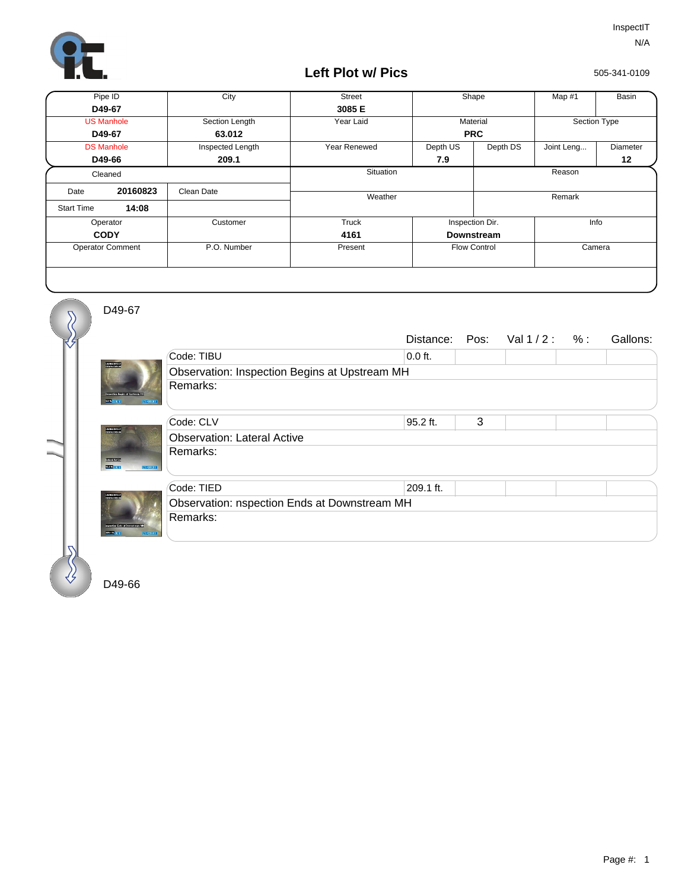

## **Left Plot w/ Pics**

505-341-0109

| Pipe ID                 |          | City             | <b>Street</b> | Shape               |          | Map #1       | Basin    |
|-------------------------|----------|------------------|---------------|---------------------|----------|--------------|----------|
| D49-67                  |          |                  | 3085 E        |                     |          |              |          |
| <b>US Manhole</b>       |          | Section Length   | Year Laid     | Material            |          | Section Type |          |
| D49-67                  |          | 63.012           |               | <b>PRC</b>          |          |              |          |
| <b>DS Manhole</b>       |          | Inspected Length | Year Renewed  | Depth US            | Depth DS | Joint Leng   | Diameter |
| D49-66                  |          | 209.1            |               | 7.9                 |          |              | 12       |
| Cleaned                 |          |                  | Situation     |                     |          | Reason       |          |
| Date                    | 20160823 | Clean Date       |               |                     |          |              |          |
| <b>Start Time</b>       | 14:08    |                  | Weather       |                     |          | Remark       |          |
| Operator                |          | Customer         | Truck         | Inspection Dir.     |          | Info         |          |
| <b>CODY</b>             |          |                  | 4161          | <b>Downstream</b>   |          |              |          |
| <b>Operator Comment</b> |          | P.O. Number      | Present       | <b>Flow Control</b> |          | Camera       |          |
|                         |          |                  |               |                     |          |              |          |

D49-67

**MARK** 

asuns<br>2010a

€

 $\overline{\mathcal{S}}$ 

|                 |                                               |           |   | Distance: Pos: Val 1/2: %: |  | Gallons: |  |  |  |
|-----------------|-----------------------------------------------|-----------|---|----------------------------|--|----------|--|--|--|
|                 | Code: TIBU                                    | $0.0$ ft. |   |                            |  |          |  |  |  |
|                 | Observation: Inspection Begins at Upstream MH |           |   |                            |  |          |  |  |  |
| <b>REPORTED</b> | Remarks:                                      |           |   |                            |  |          |  |  |  |
|                 | Code: CLV                                     | 95.2 ft.  | 3 |                            |  |          |  |  |  |
|                 | <b>Observation: Lateral Active</b>            |           |   |                            |  |          |  |  |  |
| 1440.0581.0     | Remarks:                                      |           |   |                            |  |          |  |  |  |
|                 | Code: TIED                                    | 209.1 ft. |   |                            |  |          |  |  |  |
| <b>DE EXAMI</b> | Observation: nspection Ends at Downstream MH  |           |   |                            |  |          |  |  |  |
|                 | Remarks:                                      |           |   |                            |  |          |  |  |  |

D49-66